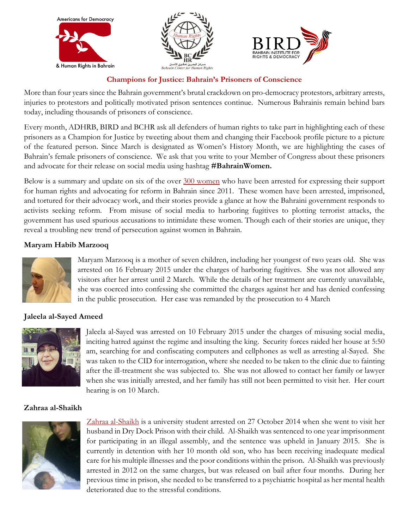

#### **Champions for Justice: Bahrain's Prisoners of Conscience**

More than four years since the Bahrain government's brutal crackdown on pro-democracy protestors, arbitrary arrests, injuries to protestors and politically motivated prison sentences continue. Numerous Bahrainis remain behind bars today, including thousands of prisoners of conscience.

Every month, ADHRB, BIRD and BCHR ask all defenders of human rights to take part in highlighting each of these prisoners as a Champion for Justice by tweeting about them and changing their Facebook profile picture to a picture of the featured person. Since March is designated as Women's History Month, we are highlighting the cases of Bahrain's female prisoners of conscience. We ask that you write to your Member of Congress about these prisoners and advocate for their release on social media using hashtag **#BahrainWomen.**

Below is a summary and update on six of the over [300 women](http://www.bahrainrights.org/en/node/7222) who have been arrested for expressing their support for human rights and advocating for reform in Bahrain since 2011. These women have been arrested, imprisoned, and tortured for their advocacy work, and their stories provide a glance at how the Bahraini government responds to activists seeking reform. From misuse of social media to harboring fugitives to plotting terrorist attacks, the government has used spurious accusations to intimidate these women. Though each of their stories are unique, they reveal a troubling new trend of persecution against women in Bahrain.

#### **Maryam Habib Marzooq**



Maryam Marzooq is a mother of seven children, including her youngest of two years old. She was arrested on 16 February 2015 under the charges of harboring fugitives. She was not allowed any visitors after her arrest until 2 March. While the details of her treatment are currently unavailable, she was coerced into confessing she committed the charges against her and has denied confessing in the public prosecution. Her case was remanded by the prosecution to 4 March

## **Jaleela al-Sayed Ameed**



Jaleela al-Sayed was arrested on 10 February 2015 under the charges of misusing social media, inciting hatred against the regime and insulting the king. Security forces raided her house at 5:50 am, searching for and confiscating computers and cellphones as well as arresting al-Sayed. She was taken to the CID for interrogation, where she needed to be taken to the clinic due to fainting after the ill-treatment she was subjected to. She was not allowed to contact her family or lawyer when she was initially arrested, and her family has still not been permitted to visit her. Her court hearing is on 10 March.

## **Zahraa al-Shaikh**



[Zahraa al-Shaikh](http://adhrb.org/2014/11/mother-and-infant-son-detained-on-freedom-of-assembly-charges-in-bahrain/) is a university student arrested on 27 October 2014 when she went to visit her husband in Dry Dock Prison with their child. Al-Shaikh was sentenced to one year imprisonment for participating in an illegal assembly, and the sentence was upheld in January 2015. She is currently in detention with her 10 month old son, who has been receiving inadequate medical care for his multiple illnesses and the poor conditions within the prison. Al-Shaikh was previously arrested in 2012 on the same charges, but was released on bail after four months. During her previous time in prison, she needed to be transferred to a psychiatric hospital as her mental health deteriorated due to the stressful conditions.